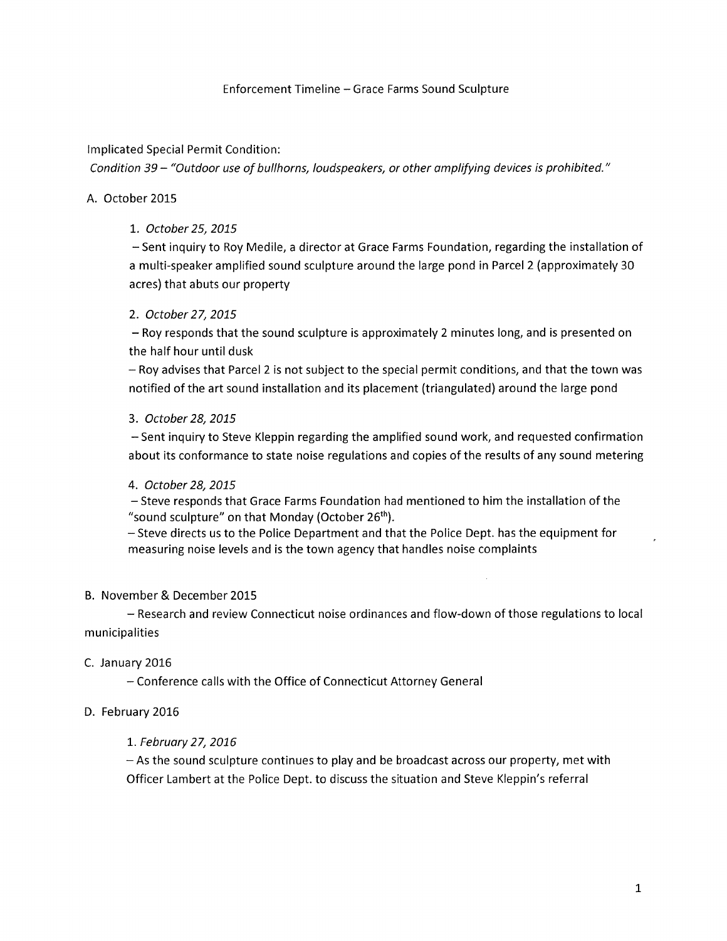### Enforcement Timeline - Grace Farms Sound Sculpture

### lmplicated Special Permit Condition:

Condition 39 - "Outdoor use of bullhorns, loudspeakers, or other amplifying devices is prohibited."

### A. October 2015

### 1. October 25, 2015

- Sent inquiry to Roy Medile, a director at Grace Farms Foundation, regarding the installation of a multi-speaker amplifíed sound sculpture around the large pond in Parcel 2 (approximately <sup>30</sup> acres) that abuts our property

### 2. October 27,2015

- Roy responds that the sound sculpture is approximately 2 minutes long, and is presented on the half hour until dusk

- Roy advises that Parcel 2 is not subject to the special permit conditions, and that the town was notified of the art sound installation and its placement (triangulated) around the large pond

### 3. October 28,2075

- Sent inquiry to Steve Kleppin regarding the amplified sound work, and requested confirmation about its conformance to state noise regulations and copies of the results of any sound metering

#### 4. October 28, 2015

- Steve responds that Grace Farms Foundation had mentioned to him the installation of the "sound sculpture" on that Monday (October 26<sup>th</sup>).

- Steve directs us to the Police Department and that the Police Dept. has the equipment for measuring noise levels and is the town agency that handles noise complaints

#### B. November & December 2015

- Research and review Connecticut noise ordinances and flow-down of those regulations to local municipalities

#### C. January 2016

- Conference calls with the Office of Connecticut Attorney General

## D. February 2016

## L. February 27,2076

- As the sound sculpture continues to play and be broadcast across our property, met with Officer Lambert at the Police Dept. to discuss the situation and Steve Kleppin's referral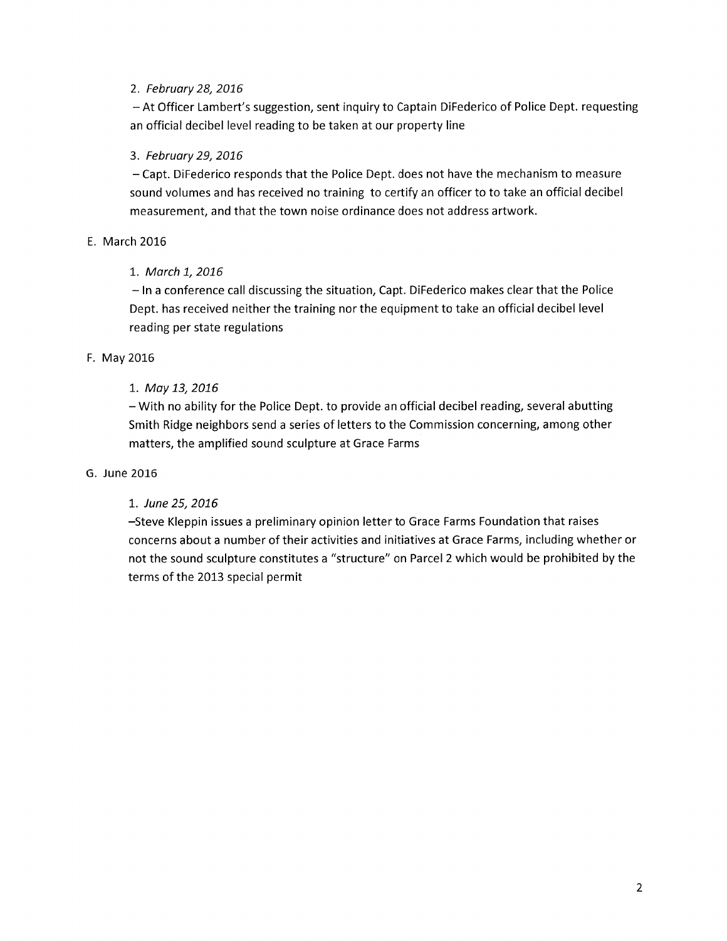## 2. February 28,2076

- At Officer Lambert's suggestion, sent inquiry to Captain DiFederico of Police Dept. requesting an official decibel level reading to be taken at our property line

## 3. February 29,2076

- Capt. DiFederico responds that the Police Dept. does not have the mechanism to measure sound volumes and has received no training to certify an officer to to take an official decibel measurement, and that the town noise ordinance does not address artwork.

## E. March 2016

## 1. March 1, 2016

- ln a conference call discussing the situation, Capt. DiFederico makes clear that the Police Dept. has received neither the training nor the equipment to take an official decibel level reading per state regulations

## F. May 2016

## 1,. Moy 13,2076

- With no ability for the Police Dept. to provide an official decibel reading, several abutting Smith Ridge neighbors send a series of letters to the Commission concerning, among other matters, the amplified sound sculpture at Grace Farms

## G. June 2016

## 1. June 25, 2016

-Steve Kleppin issues a preliminary opinion letter to Grace Farms Foundation that raises concerns about a number of their activities and initiatives at Grace Farms, including whether or not the sound sculpture constitutes a "structure" on Parcel 2 which would be prohibited by the terms of the 2013 special permit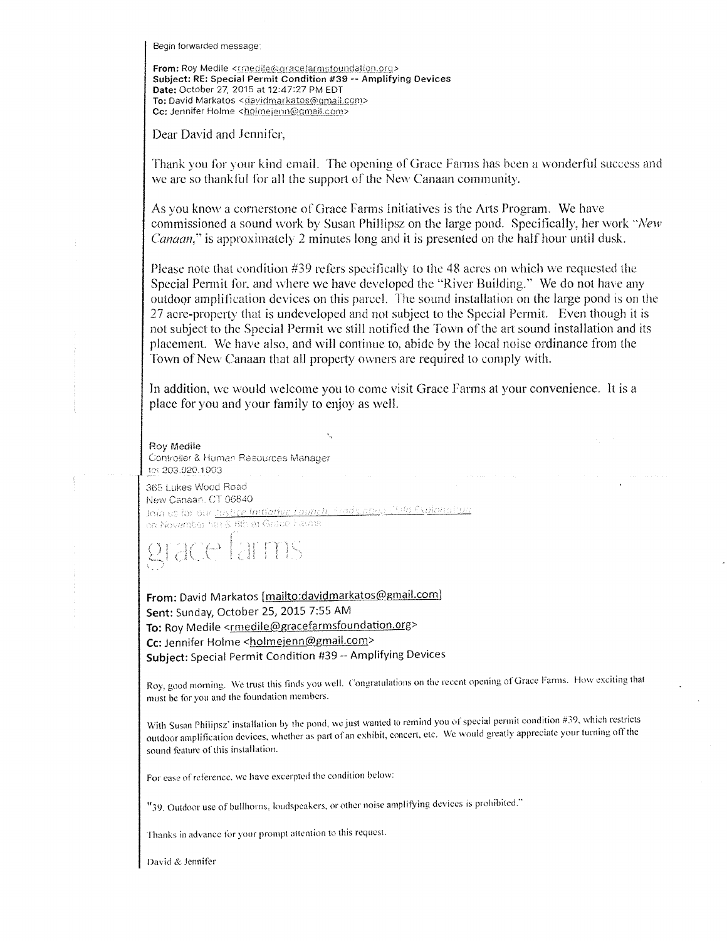Begin forwarded message:

From: Roy Medile <conedile@gracefarmsfoundation.org> Subject: RE: Special Permit Condition #39 -- Amplifying Devices Date: October 27, 2015 at 12:47:27 PM EDT To: David Markatos <davidmarkatos@qmail.com> Cc: Jennifer Holme <holmejenn@gmail.com>

Dear David and Jennifer.

Thank you for your kind email. The opening of Grace Farms has been a wonderful success and we are so thankful for all the support of the New Canaan community.

As you know a cornerstone of Grace Farms Initiatives is the Arts Program. We have commissioned a sound work by Susan Phillipsz on the large pond. Specifically, her work "New *Canaan*," is approximately 2 minutes long and it is presented on the half hour until dusk.

Please note that condition #39 refers specifically to the 48 acres on which we requested the Special Permit for, and where we have developed the "River Building." We do not have any outdoor amplification devices on this parcel. The sound installation on the large pond is on the 27 acre-property that is undeveloped and not subject to the Special Permit. Even though it is not subject to the Special Permit we still notified the Town of the art sound installation and its placement. We have also, and will continue to, abide by the local noise ordinance from the Town of New Canaan that all property owners are required to comply with.

In addition, we would welcome you to come visit Grace Farms at your convenience. It is a place for you and your family to enjoy as well.

Roy Medile Controller & Human Resources Manager tet 203.920.1903

365 Lukes Wood Road New Canaan, CT 06840 Join us for our justice Initiative Launch, Fradhamis Child Exploration on November <sup>e</sup>ar & 6th at Grace Flators

discel

From: David Markatos [mailto:davidmarkatos@gmail.com] Sent: Sunday, October 25, 2015 7:55 AM To: Roy Medile <rmedile@gracefarmsfoundation.org> Cc: Jennifer Holme <holmejenn@gmail.com> Subject: Special Permit Condition #39 -- Amplifying Devices

Roy, good morning. We trust this finds you well. Congratulations on the recent opening of Grace Farms. How exciting that must be for you and the foundation members.

With Susan Philipsz' installation by the pond, we just wanted to remind you of special permit condition #39, which restricts outdoor amplification devices, whether as part of an exhibit, concert, etc. We would greatly appreciate your turning off the sound feature of this installation.

For ease of reference, we have excerpted the condition below:

"39. Outdoor use of bullhorns, loudspeakers, or other noise amplifying devices is prohibited."

Thanks in advance for your prompt attention to this request.

David & Jennifer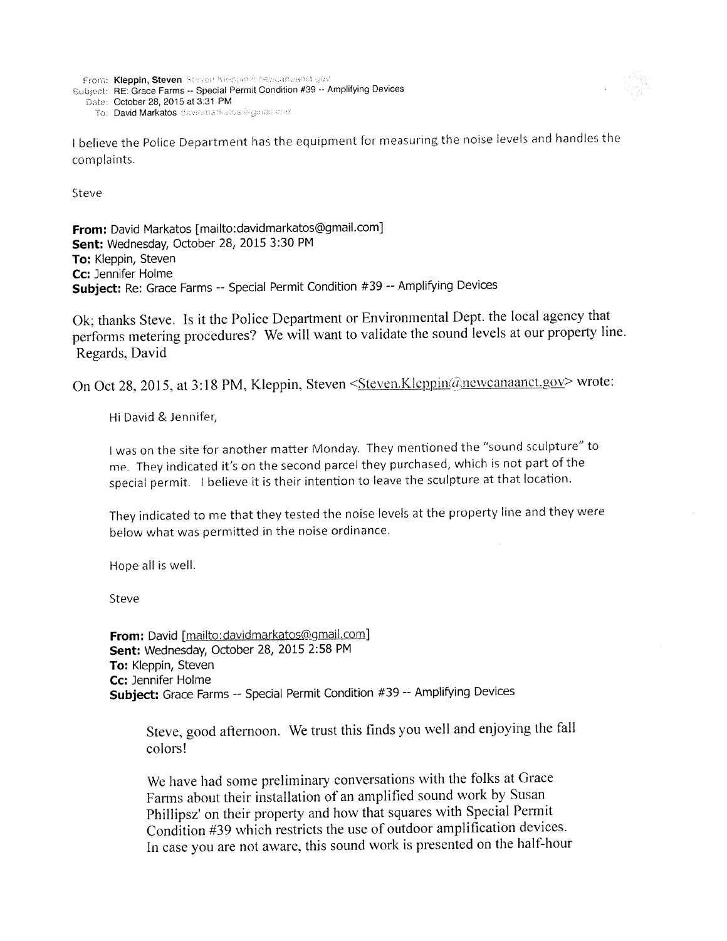```
From: Kleppin, Steven Steven Kleppin@newcanaanct.gov
Subject: RE: Grace Farms -- Special Permit Condition #39 -- Amplifying Devices
  Date: October 28, 2015 at 3:31 PM
     To: David Markatos davidmarkatos@gorati.com
```


I believe the Police Department has the equipment for measuring the noise levels and handles the complaints.

Steve

From: David Markatos [mailto:davidmarkatos@gmail.com] Sent: Wednesday, October 28, 2015 3:30 PM To: Kleppin, Steven Cc: Jennifer Holme Subject: Re: Grace Farms -- Special Permit Condition #39 -- Amplifying Devices

Ok; thanks Steve. Is it the Police Department or Environmental Dept. the local agency that performs metering procedures? We will want to validate the sound levels at our property line. Regards, David

On Oct 28, 2015, at 3:18 PM, Kleppin, Steven <Steven.Kleppin@newcanaanct.gov> wrote:

Hi David & Jennifer,

I was on the site for another matter Monday. They mentioned the "sound sculpture" to me. They indicated it's on the second parcel they purchased, which is not part of the special permit. I believe it is their intention to leave the sculpture at that location.

They indicated to me that they tested the noise levels at the property line and they were below what was permitted in the noise ordinance.

Hope all is well.

Steve

From: David [mailto:davidmarkatos@gmail.com] Sent: Wednesday, October 28, 2015 2:58 PM To: Kleppin, Steven Cc: Jennifer Holme Subject: Grace Farms -- Special Permit Condition #39 -- Amplifying Devices

Steve, good afternoon. We trust this finds you well and enjoying the fall colors!

We have had some preliminary conversations with the folks at Grace Farms about their installation of an amplified sound work by Susan Phillipsz' on their property and how that squares with Special Permit Condition #39 which restricts the use of outdoor amplification devices. In case you are not aware, this sound work is presented on the half-hour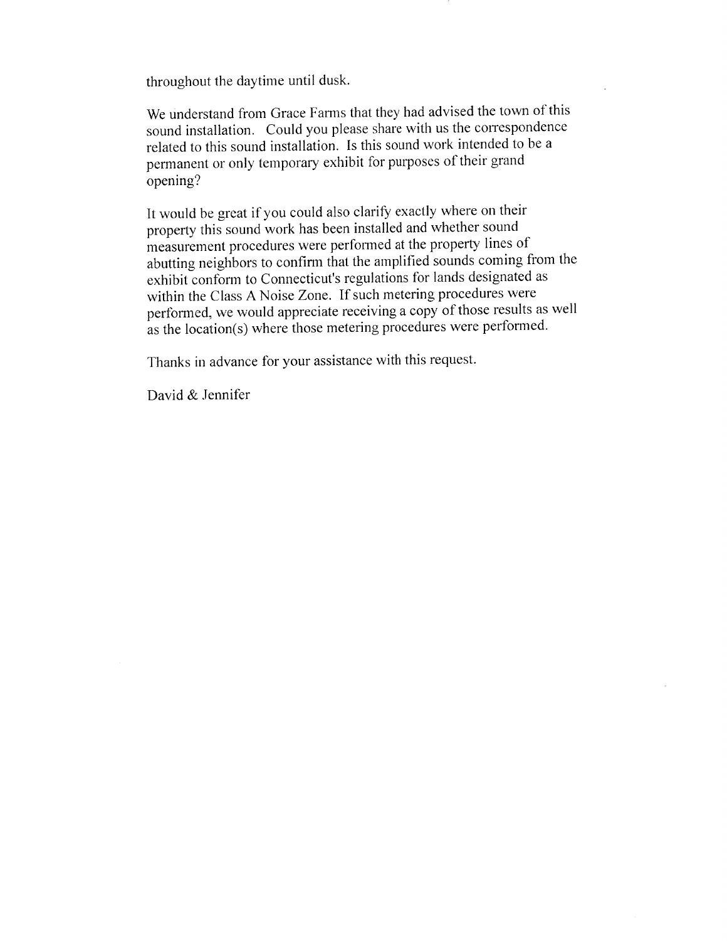throughout the daytime until dusk.

We understand from Grace Farms that they had advised the town of this sound installation. Could you please share with us the correspondence related to this sound installation. Is this sound work intended to be a permanent or only temporary exhibit for purposes of their grand opening?

It would be great if you could also clarify exactly where on their property this sound work has been installed and whether sound measurement procedures were performed at the property lines of abutting neighbors to confirm that the amplified sounds coming from the exhibit conform to Connecticut's regulations for lands designated as within the Class A Noise Zone. If such metering procedures were performed, we would appreciate receiving a copy of those results as well as the location(s) where those metering procedures were performed.

Thanks in advance for your assistance with this request.

David & Jennifer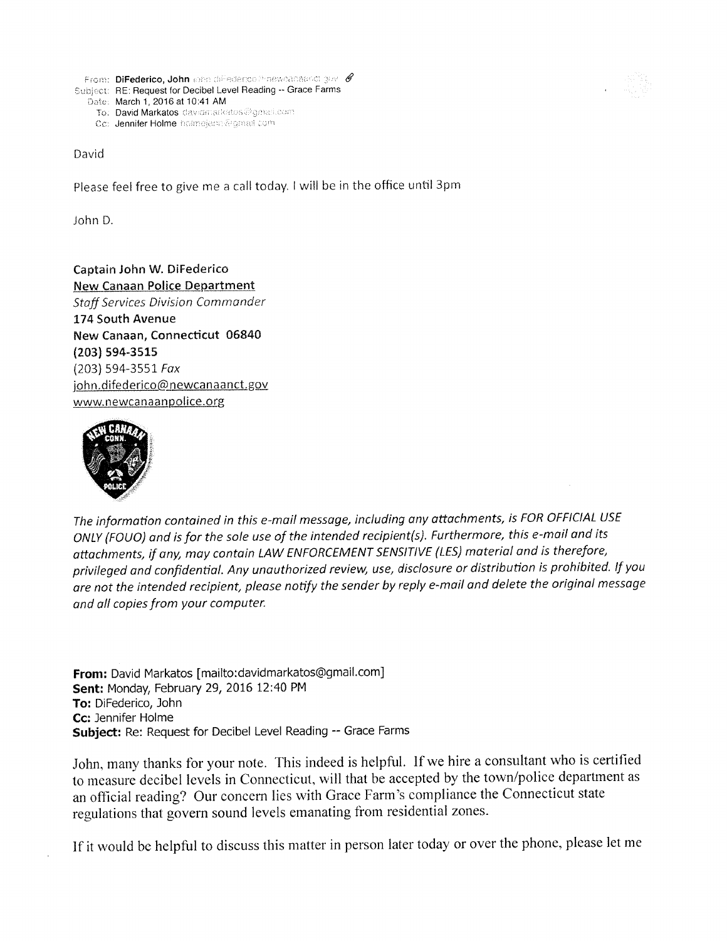

Co: Jennifer Holme holmejerm@gmail.com

David

Please feel free to give me a call today. I will be in the office until 3pm

John D.

Captain John W. DiFederico **New Canaan Police Department Staff Services Division Commander** 174 South Avenue New Canaan, Connecticut 06840 (203) 594-3515  $(203)$  594-3551 Fax john.difederico@newcanaanct.gov www.newcanaanpolice.org



The information contained in this e-mail message, including any attachments, is FOR OFFICIAL USE ONLY (FOUO) and is for the sole use of the intended recipient(s). Furthermore, this e-mail and its attachments, if any, may contain LAW ENFORCEMENT SENSITIVE (LES) material and is therefore, privileged and confidential. Any unauthorized review, use, disclosure or distribution is prohibited. If you are not the intended recipient, please notify the sender by reply e-mail and delete the original message and all copies from your computer.

From: David Markatos [mailto:davidmarkatos@gmail.com] Sent: Monday, February 29, 2016 12:40 PM To: DiFederico, John Cc: Jennifer Holme Subject: Re: Request for Decibel Level Reading -- Grace Farms

John, many thanks for your note. This indeed is helpful. If we hire a consultant who is certified to measure decibel levels in Connecticut, will that be accepted by the town/police department as an official reading? Our concern lies with Grace Farm's compliance the Connecticut state regulations that govern sound levels emanating from residential zones.

If it would be helpful to discuss this matter in person later today or over the phone, please let me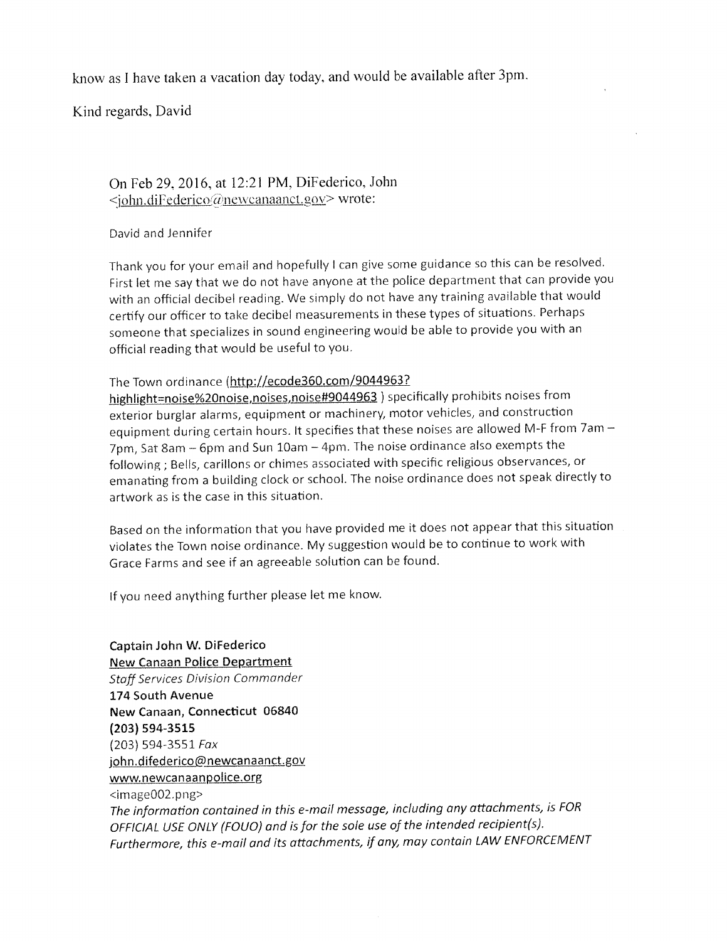know as I have taken a vacation day today, and would be available after 3pm.

Kind regards, David

# On Feb 29, 2016, at 12:21 PM, DiFederico, John <john.diFederico@newcanaanct.gov> wrote:

## David and Jennifer

Thank you for your email and hopefully I can give some guidance so this can be resolved. First let me say that we do not have anyone at the police department that can provide you with an official decibel reading. We simply do not have any training available that would certify our officer to take decibel measurements in these types of situations. Perhaps someone that specializes in sound engineering would be able to provide you with an official reading that would be useful to you.

# The Town ordinance (http://ecode360.com/9044963?

highlight=noise%20noise,noises,noise#9044963) specifically prohibits noises from exterior burglar alarms, equipment or machinery, motor vehicles, and construction equipment during certain hours. It specifies that these noises are allowed M-F from 7am -7pm, Sat 8am - 6pm and Sun 10am - 4pm. The noise ordinance also exempts the following; Bells, carillons or chimes associated with specific religious observances, or emanating from a building clock or school. The noise ordinance does not speak directly to artwork as is the case in this situation.

Based on the information that you have provided me it does not appear that this situation violates the Town noise ordinance. My suggestion would be to continue to work with Grace Farms and see if an agreeable solution can be found.

If you need anything further please let me know.

Captain John W. DiFederico **New Canaan Police Department Staff Services Division Commander** 174 South Avenue New Canaan, Connecticut 06840  $(203) 594 - 3515$  $(203)$  594-3551 Fax john.difederico@newcanaanct.gov www.newcanaanpolice.org <image002.png> The information contained in this e-mail message, including any attachments, is FOR OFFICIAL USE ONLY (FOUO) and is for the sole use of the intended recipient(s). Furthermore, this e-mail and its attachments, if any, may contain LAW ENFORCEMENT